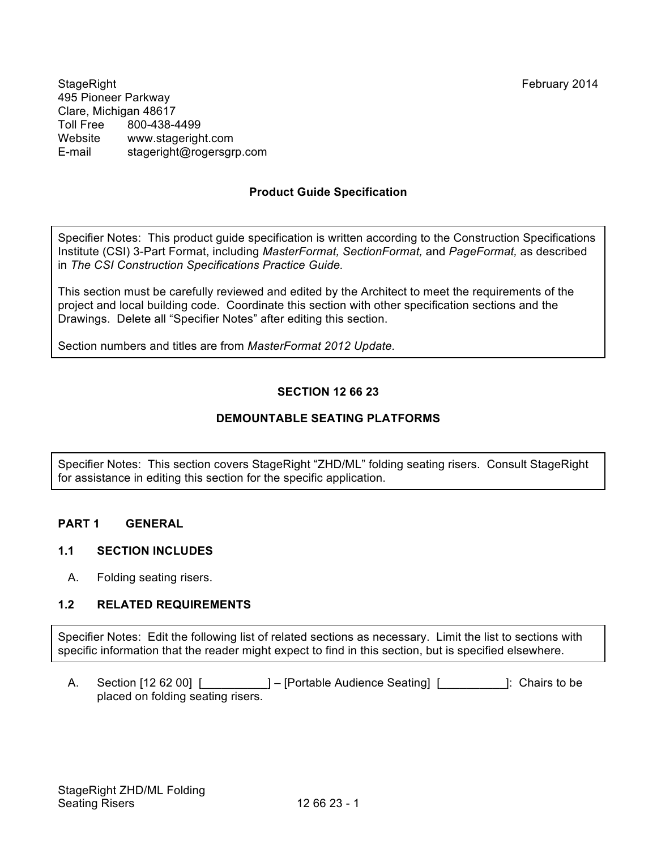StageRight February 2014 495 Pioneer Parkway Clare, Michigan 48617 Toll Free 800-438-4499 Website www.stageright.com E-mail stageright@rogersgrp.com

# **Product Guide Specification**

Specifier Notes: This product guide specification is written according to the Construction Specifications Institute (CSI) 3-Part Format, including *MasterFormat, SectionFormat,* and *PageFormat,* as described in *The CSI Construction Specifications Practice Guide.*

This section must be carefully reviewed and edited by the Architect to meet the requirements of the project and local building code. Coordinate this section with other specification sections and the Drawings. Delete all "Specifier Notes" after editing this section.

Section numbers and titles are from *MasterFormat 2012 Update.*

# **SECTION 12 66 23**

### **DEMOUNTABLE SEATING PLATFORMS**

Specifier Notes: This section covers StageRight "ZHD/ML" folding seating risers. Consult StageRight for assistance in editing this section for the specific application.

### **PART 1 GENERAL**

#### **1.1 SECTION INCLUDES**

A. Folding seating risers.

#### **1.2 RELATED REQUIREMENTS**

Specifier Notes: Edit the following list of related sections as necessary. Limit the list to sections with specific information that the reader might expect to find in this section, but is specified elsewhere.

A. Section [12 62 00] [\_\_\_\_\_\_\_\_\_\_] – [Portable Audience Seating] [\_\_\_\_\_\_\_\_\_\_]: Chairs to be placed on folding seating risers.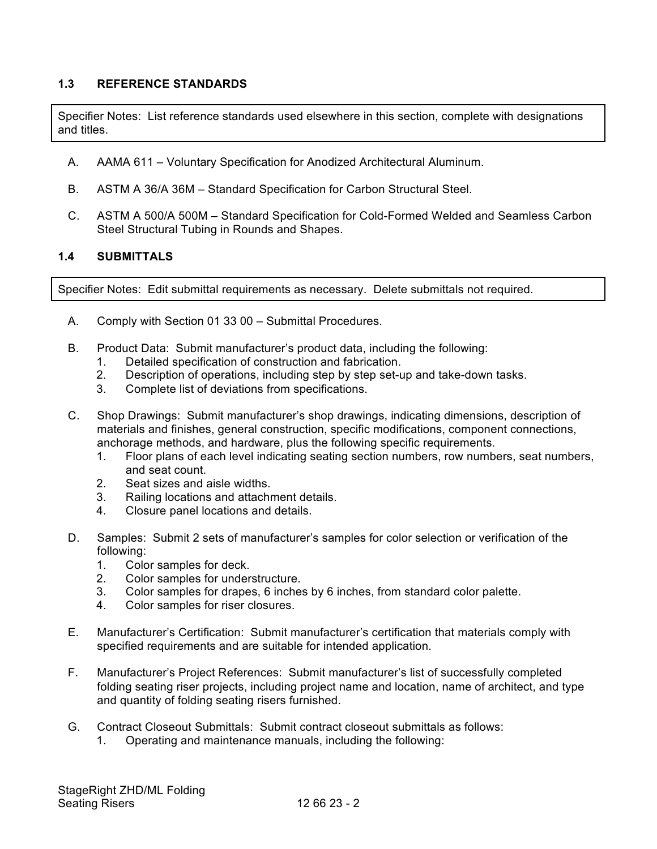#### **1.3 REFERENCE STANDARDS**

Specifier Notes: List reference standards used elsewhere in this section, complete with designations and titles.

- A. AAMA 611 Voluntary Specification for Anodized Architectural Aluminum.
- B. ASTM A 36/A 36M Standard Specification for Carbon Structural Steel.
- C. ASTM A 500/A 500M Standard Specification for Cold-Formed Welded and Seamless Carbon Steel Structural Tubing in Rounds and Shapes.

#### **1.4 SUBMITTALS**

Specifier Notes: Edit submittal requirements as necessary. Delete submittals not required.

- A. Comply with Section 01 33 00 Submittal Procedures.
- B. Product Data: Submit manufacturer's product data, including the following:
	- 1. Detailed specification of construction and fabrication.
	- 2. Description of operations, including step by step set-up and take-down tasks.
	- 3. Complete list of deviations from specifications.
- C. Shop Drawings: Submit manufacturer's shop drawings, indicating dimensions, description of materials and finishes, general construction, specific modifications, component connections, anchorage methods, and hardware, plus the following specific requirements.
	- 1. Floor plans of each level indicating seating section numbers, row numbers, seat numbers, and seat count.
	- 2. Seat sizes and aisle widths.
	- 3. Railing locations and attachment details.
	- 4. Closure panel locations and details.
- D. Samples: Submit 2 sets of manufacturer's samples for color selection or verification of the following:
	- 1. Color samples for deck.
	- 2. Color samples for understructure.
	- 3. Color samples for drapes, 6 inches by 6 inches, from standard color palette.
	- 4. Color samples for riser closures.
- E. Manufacturer's Certification: Submit manufacturer's certification that materials comply with specified requirements and are suitable for intended application.
- F. Manufacturer's Project References: Submit manufacturer's list of successfully completed folding seating riser projects, including project name and location, name of architect, and type and quantity of folding seating risers furnished.
- G. Contract Closeout Submittals: Submit contract closeout submittals as follows:
	- 1. Operating and maintenance manuals, including the following: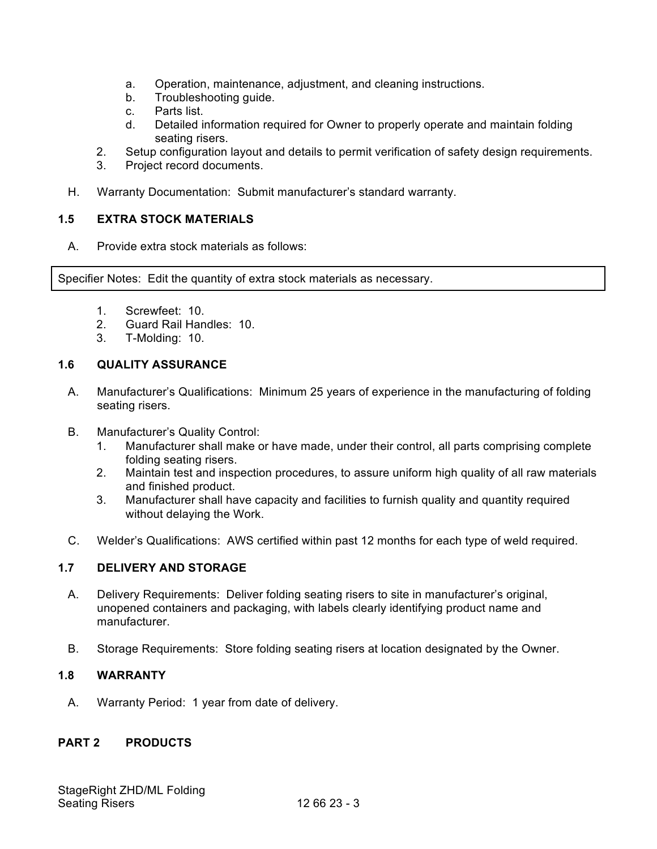- a. Operation, maintenance, adjustment, and cleaning instructions.
- b. Troubleshooting quide.
- c. Parts list.
- d. Detailed information required for Owner to properly operate and maintain folding seating risers.
- 2. Setup configuration layout and details to permit verification of safety design requirements.
- 3. Project record documents.
- H. Warranty Documentation: Submit manufacturer's standard warranty.

### **1.5 EXTRA STOCK MATERIALS**

A. Provide extra stock materials as follows:

Specifier Notes: Edit the quantity of extra stock materials as necessary.

- 1. Screwfeet: 10.
- 2. Guard Rail Handles: 10.
- 3. T-Molding: 10.

# **1.6 QUALITY ASSURANCE**

- A. Manufacturer's Qualifications: Minimum 25 years of experience in the manufacturing of folding seating risers.
- B. Manufacturer's Quality Control:
	- 1. Manufacturer shall make or have made, under their control, all parts comprising complete folding seating risers.
	- 2. Maintain test and inspection procedures, to assure uniform high quality of all raw materials and finished product.
	- 3. Manufacturer shall have capacity and facilities to furnish quality and quantity required without delaying the Work.
- C. Welder's Qualifications: AWS certified within past 12 months for each type of weld required.

# **1.7 DELIVERY AND STORAGE**

- A. Delivery Requirements: Deliver folding seating risers to site in manufacturer's original, unopened containers and packaging, with labels clearly identifying product name and manufacturer.
- B. Storage Requirements: Store folding seating risers at location designated by the Owner.

# **1.8 WARRANTY**

A. Warranty Period: 1 year from date of delivery.

# **PART 2 PRODUCTS**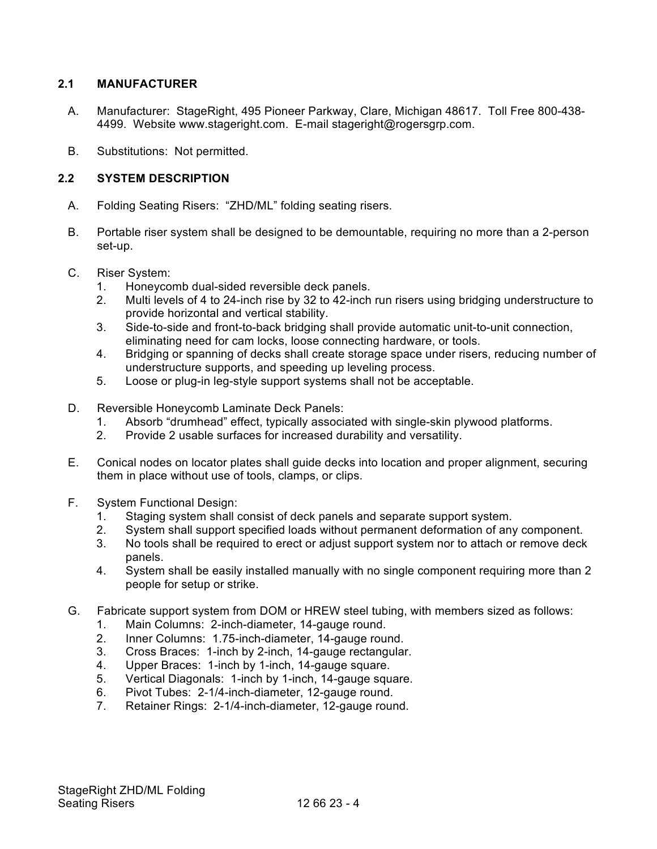### **2.1 MANUFACTURER**

- A. Manufacturer: StageRight, 495 Pioneer Parkway, Clare, Michigan 48617. Toll Free 800-438- 4499. Website www.stageright.com. E-mail stageright@rogersgrp.com.
- B. Substitutions: Not permitted.

### **2.2 SYSTEM DESCRIPTION**

- A. Folding Seating Risers: "ZHD/ML" folding seating risers.
- B. Portable riser system shall be designed to be demountable, requiring no more than a 2-person set-up.
- C. Riser System:
	- 1. Honeycomb dual-sided reversible deck panels.
	- 2. Multi levels of 4 to 24-inch rise by 32 to 42-inch run risers using bridging understructure to provide horizontal and vertical stability.
	- 3. Side-to-side and front-to-back bridging shall provide automatic unit-to-unit connection, eliminating need for cam locks, loose connecting hardware, or tools.
	- 4. Bridging or spanning of decks shall create storage space under risers, reducing number of understructure supports, and speeding up leveling process.
	- 5. Loose or plug-in leg-style support systems shall not be acceptable.
- D. Reversible Honeycomb Laminate Deck Panels:
	- 1. Absorb "drumhead" effect, typically associated with single-skin plywood platforms.
	- 2. Provide 2 usable surfaces for increased durability and versatility.
- E. Conical nodes on locator plates shall guide decks into location and proper alignment, securing them in place without use of tools, clamps, or clips.
- F. System Functional Design:
	- 1. Staging system shall consist of deck panels and separate support system.
	- 2. System shall support specified loads without permanent deformation of any component.
	- 3. No tools shall be required to erect or adjust support system nor to attach or remove deck panels.
	- 4. System shall be easily installed manually with no single component requiring more than 2 people for setup or strike.
- G. Fabricate support system from DOM or HREW steel tubing, with members sized as follows:
	- 1. Main Columns: 2-inch-diameter, 14-gauge round.
	- 2. Inner Columns: 1.75-inch-diameter, 14-gauge round.
	- 3. Cross Braces: 1-inch by 2-inch, 14-gauge rectangular.
	- 4. Upper Braces: 1-inch by 1-inch, 14-gauge square.
	- 5. Vertical Diagonals: 1-inch by 1-inch, 14-gauge square.
	- 6. Pivot Tubes: 2-1/4-inch-diameter, 12-gauge round.
	- 7. Retainer Rings: 2-1/4-inch-diameter, 12-gauge round.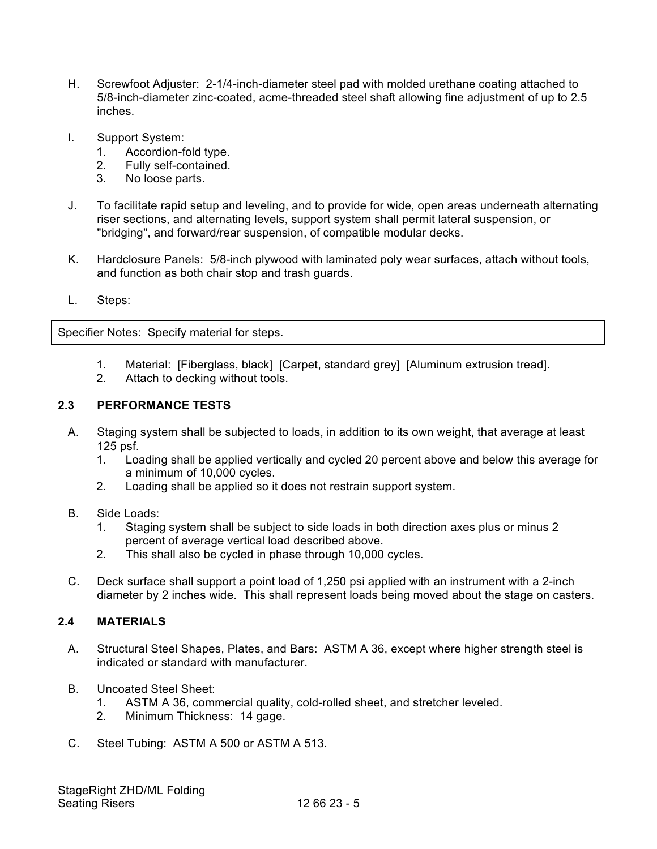- H. Screwfoot Adjuster: 2-1/4-inch-diameter steel pad with molded urethane coating attached to 5/8-inch-diameter zinc-coated, acme-threaded steel shaft allowing fine adjustment of up to 2.5 inches.
- I. Support System:
	- 1. Accordion-fold type.
	- 2. Fully self-contained.
	- 3. No loose parts.
- J. To facilitate rapid setup and leveling, and to provide for wide, open areas underneath alternating riser sections, and alternating levels, support system shall permit lateral suspension, or "bridging", and forward/rear suspension, of compatible modular decks.
- K. Hardclosure Panels: 5/8-inch plywood with laminated poly wear surfaces, attach without tools, and function as both chair stop and trash guards.
- L. Steps:

Specifier Notes: Specify material for steps.

- 1. Material: [Fiberglass, black] [Carpet, standard grey] [Aluminum extrusion tread].
- 2. Attach to decking without tools.

### **2.3 PERFORMANCE TESTS**

- A. Staging system shall be subjected to loads, in addition to its own weight, that average at least 125 psf.
	- 1. Loading shall be applied vertically and cycled 20 percent above and below this average for a minimum of 10,000 cycles.
	- 2. Loading shall be applied so it does not restrain support system.
- B. Side Loads:
	- 1. Staging system shall be subject to side loads in both direction axes plus or minus 2 percent of average vertical load described above.
	- 2. This shall also be cycled in phase through 10,000 cycles.
- C. Deck surface shall support a point load of 1,250 psi applied with an instrument with a 2-inch diameter by 2 inches wide. This shall represent loads being moved about the stage on casters.

### **2.4 MATERIALS**

- A. Structural Steel Shapes, Plates, and Bars: ASTM A 36, except where higher strength steel is indicated or standard with manufacturer.
- B. Uncoated Steel Sheet:
	- 1. ASTM A 36, commercial quality, cold-rolled sheet, and stretcher leveled.
	- 2. Minimum Thickness: 14 gage.
- C. Steel Tubing: ASTM A 500 or ASTM A 513.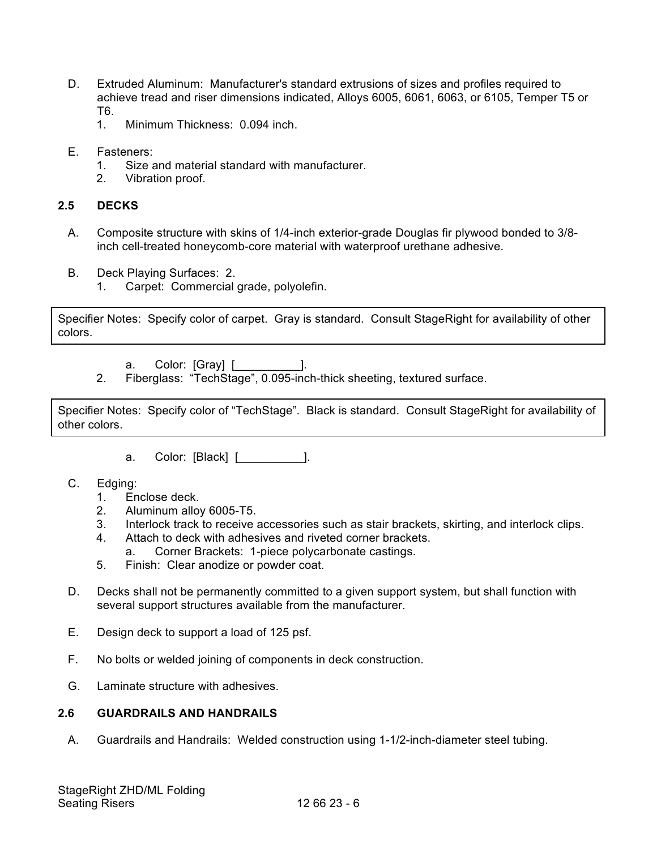- D. Extruded Aluminum: Manufacturer's standard extrusions of sizes and profiles required to achieve tread and riser dimensions indicated, Alloys 6005, 6061, 6063, or 6105, Temper T5 or T6.
	- 1. Minimum Thickness: 0.094 inch.
- E. Fasteners:
	- 1. Size and material standard with manufacturer.
	- 2. Vibration proof.

#### **2.5 DECKS**

- A. Composite structure with skins of 1/4-inch exterior-grade Douglas fir plywood bonded to 3/8 inch cell-treated honeycomb-core material with waterproof urethane adhesive.
- B. Deck Playing Surfaces: 2.
	- 1. Carpet: Commercial grade, polyolefin.

Specifier Notes: Specify color of carpet. Gray is standard. Consult StageRight for availability of other colors.

a. Color: [Gray] [ \_\_\_\_\_\_\_\_\_\_].

2. Fiberglass: "TechStage", 0.095-inch-thick sheeting, textured surface.

Specifier Notes: Specify color of "TechStage". Black is standard. Consult StageRight for availability of other colors.

- a. Color: [Black] [\_\_\_\_\_\_\_\_\_\_].
- C. Edging:
	- 1. Enclose deck.
	- 2. Aluminum alloy 6005-T5.
	- 3. Interlock track to receive accessories such as stair brackets, skirting, and interlock clips.
	- 4. Attach to deck with adhesives and riveted corner brackets.
		- a. Corner Brackets: 1-piece polycarbonate castings.
	- 5. Finish: Clear anodize or powder coat.
- D. Decks shall not be permanently committed to a given support system, but shall function with several support structures available from the manufacturer.
- E. Design deck to support a load of 125 psf.
- F. No bolts or welded joining of components in deck construction.
- G. Laminate structure with adhesives.

#### **2.6 GUARDRAILS AND HANDRAILS**

A. Guardrails and Handrails: Welded construction using 1-1/2-inch-diameter steel tubing.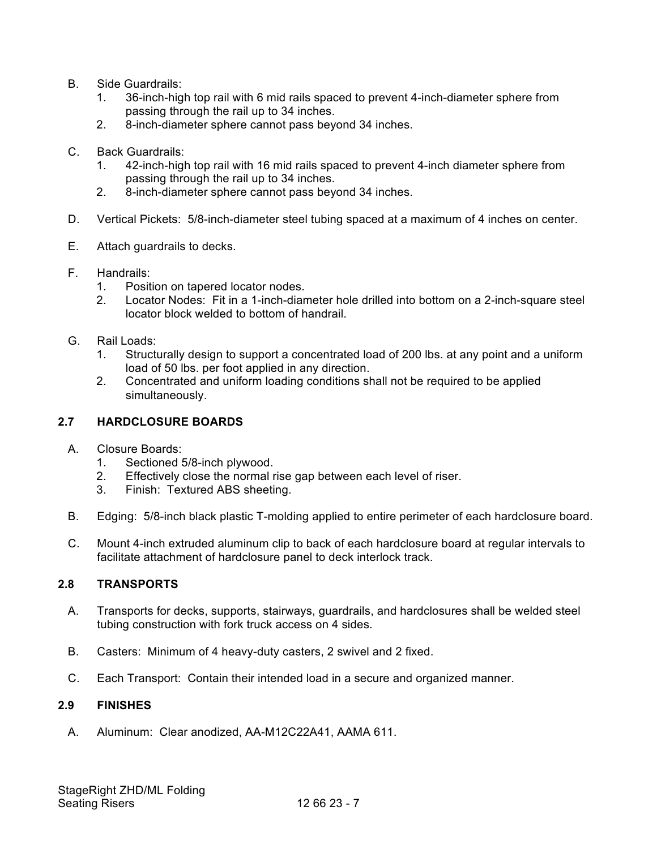- B. Side Guardrails:
	- 1. 36-inch-high top rail with 6 mid rails spaced to prevent 4-inch-diameter sphere from passing through the rail up to 34 inches.
	- 2. 8-inch-diameter sphere cannot pass beyond 34 inches.
- C. Back Guardrails:
	- 1. 42-inch-high top rail with 16 mid rails spaced to prevent 4-inch diameter sphere from passing through the rail up to 34 inches.
	- 2. 8-inch-diameter sphere cannot pass beyond 34 inches.
- D. Vertical Pickets: 5/8-inch-diameter steel tubing spaced at a maximum of 4 inches on center.
- E. Attach guardrails to decks.
- F. Handrails:
	- 1. Position on tapered locator nodes.
	- 2. Locator Nodes: Fit in a 1-inch-diameter hole drilled into bottom on a 2-inch-square steel locator block welded to bottom of handrail.
- G. Rail Loads:
	- 1. Structurally design to support a concentrated load of 200 lbs. at any point and a uniform load of 50 lbs. per foot applied in any direction.
	- 2. Concentrated and uniform loading conditions shall not be required to be applied simultaneously.

### **2.7 HARDCLOSURE BOARDS**

- A. Closure Boards:
	- 1. Sectioned 5/8-inch plywood.
	- 2. Effectively close the normal rise gap between each level of riser.
	- 3. Finish: Textured ABS sheeting.
- B. Edging: 5/8-inch black plastic T-molding applied to entire perimeter of each hardclosure board.
- C. Mount 4-inch extruded aluminum clip to back of each hardclosure board at regular intervals to facilitate attachment of hardclosure panel to deck interlock track.

### **2.8 TRANSPORTS**

- A. Transports for decks, supports, stairways, guardrails, and hardclosures shall be welded steel tubing construction with fork truck access on 4 sides.
- B. Casters: Minimum of 4 heavy-duty casters, 2 swivel and 2 fixed.
- C. Each Transport: Contain their intended load in a secure and organized manner.

### **2.9 FINISHES**

A. Aluminum: Clear anodized, AA-M12C22A41, AAMA 611.